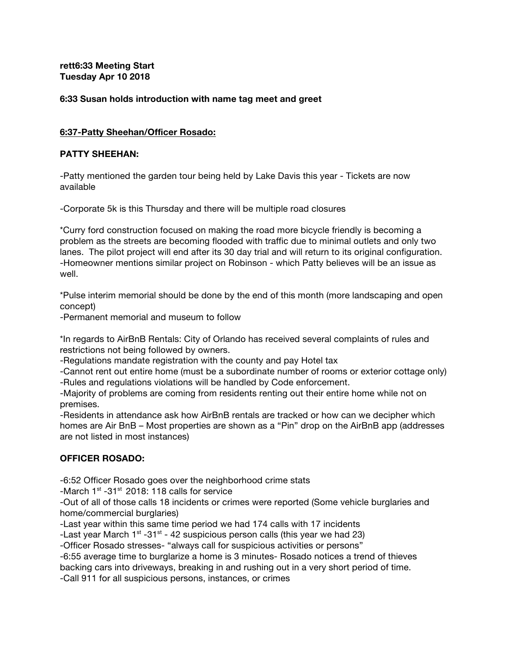# **rett6:33 Meeting Start Tuesday Apr 10 2018**

## **6:33 Susan holds introduction with name tag meet and greet**

## **6:37-Patty Sheehan/Officer Rosado:**

#### **PATTY SHEEHAN:**

-Patty mentioned the garden tour being held by Lake Davis this year - Tickets are now available

-Corporate 5k is this Thursday and there will be multiple road closures

\*Curry ford construction focused on making the road more bicycle friendly is becoming a problem as the streets are becoming flooded with traffic due to minimal outlets and only two lanes. The pilot project will end after its 30 day trial and will return to its original configuration. -Homeowner mentions similar project on Robinson - which Patty believes will be an issue as well.

\*Pulse interim memorial should be done by the end of this month (more landscaping and open concept)

-Permanent memorial and museum to follow

\*In regards to AirBnB Rentals: City of Orlando has received several complaints of rules and restrictions not being followed by owners.

-Regulations mandate registration with the county and pay Hotel tax

-Cannot rent out entire home (must be a subordinate number of rooms or exterior cottage only) -Rules and regulations violations will be handled by Code enforcement.

-Majority of problems are coming from residents renting out their entire home while not on premises.

-Residents in attendance ask how AirBnB rentals are tracked or how can we decipher which homes are Air BnB – Most properties are shown as a "Pin" drop on the AirBnB app (addresses are not listed in most instances)

# **OFFICER ROSADO:**

-6:52 Officer Rosado goes over the neighborhood crime stats

-March  $1<sup>st</sup>$  -31 $<sup>st</sup>$  2018: 118 calls for service</sup>

-Out of all of those calls 18 incidents or crimes were reported (Some vehicle burglaries and home/commercial burglaries)

-Last year within this same time period we had 174 calls with 17 incidents

-Last year March  $1<sup>st</sup>$  -31 $<sup>st</sup>$  - 42 suspicious person calls (this year we had 23)</sup>

-Officer Rosado stresses- "always call for suspicious activities or persons"

-6:55 average time to burglarize a home is 3 minutes- Rosado notices a trend of thieves backing cars into driveways, breaking in and rushing out in a very short period of time.

-Call 911 for all suspicious persons, instances, or crimes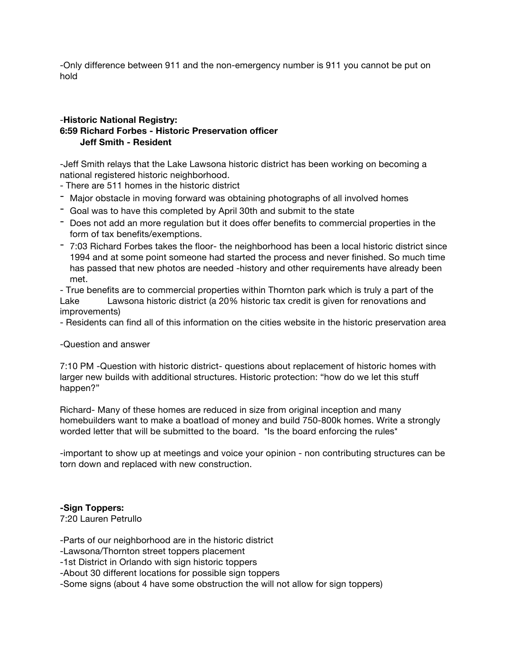-Only difference between 911 and the non-emergency number is 911 you cannot be put on hold

# -**Historic National Registry: 6:59 Richard Forbes - Historic Preservation officer Jeff Smith - Resident**

-Jeff Smith relays that the Lake Lawsona historic district has been working on becoming a national registered historic neighborhood.

- There are 511 homes in the historic district

- Major obstacle in moving forward was obtaining photographs of all involved homes
- Goal was to have this completed by April 30th and submit to the state
- Does not add an more regulation but it does offer benefits to commercial properties in the form of tax benefits/exemptions.
- 7:03 Richard Forbes takes the floor- the neighborhood has been a local historic district since 1994 and at some point someone had started the process and never finished. So much time has passed that new photos are needed -history and other requirements have already been met.

- True benefits are to commercial properties within Thornton park which is truly a part of the Lake Lawsona historic district (a 20% historic tax credit is given for renovations and improvements)

- Residents can find all of this information on the cities website in the historic preservation area

-Question and answer

7:10 PM -Question with historic district- questions about replacement of historic homes with larger new builds with additional structures. Historic protection: "how do we let this stuff happen?"

Richard- Many of these homes are reduced in size from original inception and many homebuilders want to make a boatload of money and build 750-800k homes. Write a strongly worded letter that will be submitted to the board. \*Is the board enforcing the rules\*

-important to show up at meetings and voice your opinion - non contributing structures can be torn down and replaced with new construction.

#### **-Sign Toppers:**

7:20 Lauren Petrullo

-Parts of our neighborhood are in the historic district

-Lawsona/Thornton street toppers placement

-1st District in Orlando with sign historic toppers

-About 30 different locations for possible sign toppers

-Some signs (about 4 have some obstruction the will not allow for sign toppers)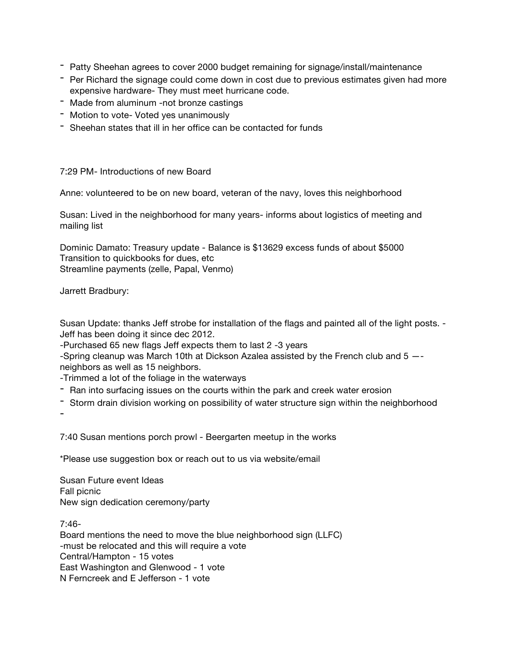- Patty Sheehan agrees to cover 2000 budget remaining for signage/install/maintenance
- Per Richard the signage could come down in cost due to previous estimates given had more expensive hardware- They must meet hurricane code.
- Made from aluminum -not bronze castings
- Motion to vote- Voted yes unanimously
- Sheehan states that ill in her office can be contacted for funds

# 7:29 PM- Introductions of new Board

Anne: volunteered to be on new board, veteran of the navy, loves this neighborhood

Susan: Lived in the neighborhood for many years- informs about logistics of meeting and mailing list

Dominic Damato: Treasury update - Balance is \$13629 excess funds of about \$5000 Transition to quickbooks for dues, etc Streamline payments (zelle, Papal, Venmo)

Jarrett Bradbury:

Susan Update: thanks Jeff strobe for installation of the flags and painted all of the light posts. - Jeff has been doing it since dec 2012.

-Purchased 65 new flags Jeff expects them to last 2 -3 years

-Spring cleanup was March 10th at Dickson Azalea assisted by the French club and 5 — neighbors as well as 15 neighbors.

- -Trimmed a lot of the foliage in the waterways
- Ran into surfacing issues on the courts within the park and creek water erosion
- Storm drain division working on possibility of water structure sign within the neighborhood

-

7:40 Susan mentions porch prowl - Beergarten meetup in the works

\*Please use suggestion box or reach out to us via website/email

Susan Future event Ideas Fall picnic New sign dedication ceremony/party

7:46- Board mentions the need to move the blue neighborhood sign (LLFC) -must be relocated and this will require a vote Central/Hampton - 15 votes East Washington and Glenwood - 1 vote N Ferncreek and E Jefferson - 1 vote